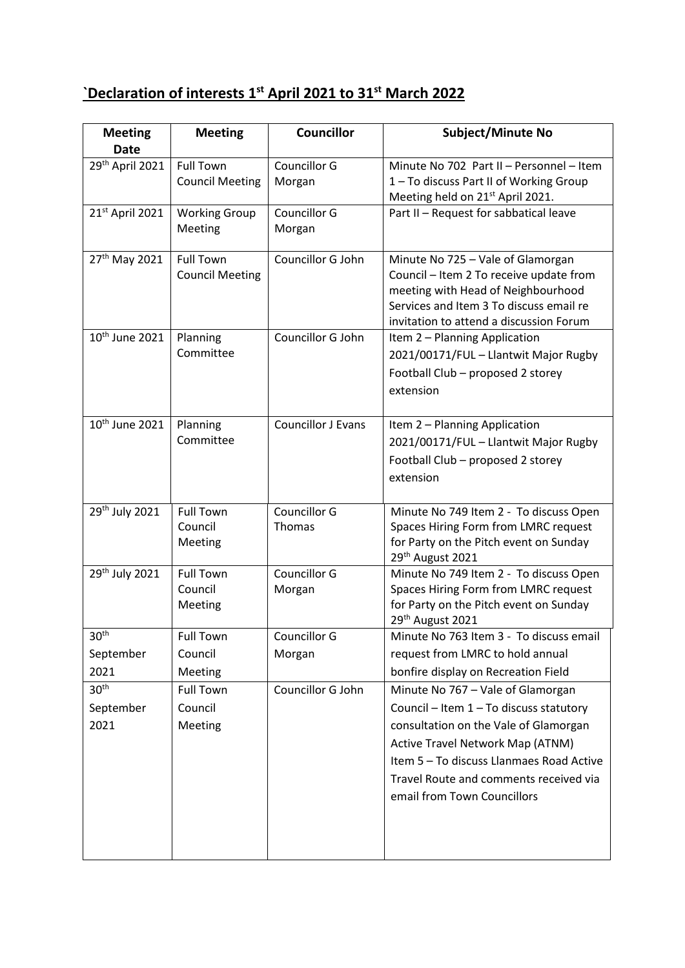## **`Declaration of interests 1st April 2021 to 31st March 2022**

| <b>Meeting</b>             | <b>Meeting</b>         | <b>Councillor</b>         | <b>Subject/Minute No</b>                                                               |
|----------------------------|------------------------|---------------------------|----------------------------------------------------------------------------------------|
| <b>Date</b>                |                        |                           |                                                                                        |
| 29th April 2021            | <b>Full Town</b>       | Councillor G              | Minute No 702 Part II - Personnel - Item                                               |
|                            | <b>Council Meeting</b> | Morgan                    | 1-To discuss Part II of Working Group                                                  |
| 21st April 2021            | <b>Working Group</b>   | Councillor G              | Meeting held on 21 <sup>st</sup> April 2021.<br>Part II - Request for sabbatical leave |
|                            | Meeting                | Morgan                    |                                                                                        |
|                            |                        |                           |                                                                                        |
| 27 <sup>th</sup> May 2021  | <b>Full Town</b>       | Councillor G John         | Minute No 725 - Vale of Glamorgan                                                      |
|                            | <b>Council Meeting</b> |                           | Council - Item 2 To receive update from                                                |
|                            |                        |                           | meeting with Head of Neighbourhood                                                     |
|                            |                        |                           | Services and Item 3 To discuss email re                                                |
|                            |                        |                           | invitation to attend a discussion Forum                                                |
| 10 <sup>th</sup> June 2021 | Planning               | Councillor G John         | Item 2 - Planning Application                                                          |
|                            | Committee              |                           | 2021/00171/FUL - Llantwit Major Rugby                                                  |
|                            |                        |                           | Football Club - proposed 2 storey                                                      |
|                            |                        |                           | extension                                                                              |
|                            |                        |                           |                                                                                        |
| 10 <sup>th</sup> June 2021 | Planning               | <b>Councillor J Evans</b> | Item 2 - Planning Application                                                          |
|                            | Committee              |                           | 2021/00171/FUL - Llantwit Major Rugby                                                  |
|                            |                        |                           | Football Club - proposed 2 storey                                                      |
|                            |                        |                           | extension                                                                              |
|                            |                        |                           |                                                                                        |
| 29th July 2021             | <b>Full Town</b>       | Councillor G              | Minute No 749 Item 2 - To discuss Open                                                 |
|                            | Council                | Thomas                    | Spaces Hiring Form from LMRC request                                                   |
|                            | Meeting                |                           | for Party on the Pitch event on Sunday                                                 |
| 29th July 2021             | <b>Full Town</b>       | <b>Councillor G</b>       | 29 <sup>th</sup> August 2021<br>Minute No 749 Item 2 - To discuss Open                 |
|                            | Council                | Morgan                    | Spaces Hiring Form from LMRC request                                                   |
|                            | Meeting                |                           | for Party on the Pitch event on Sunday                                                 |
|                            |                        |                           | 29th August 2021                                                                       |
| 30 <sup>th</sup>           | <b>Full Town</b>       | Councillor G              | Minute No 763 Item 3 - To discuss email                                                |
| September                  | Council                | Morgan                    | request from LMRC to hold annual                                                       |
| 2021                       | Meeting                |                           | bonfire display on Recreation Field                                                    |
| 30 <sup>th</sup>           | <b>Full Town</b>       | Councillor G John         | Minute No 767 - Vale of Glamorgan                                                      |
| September                  | Council                |                           | Council - Item 1 - To discuss statutory                                                |
| 2021                       | Meeting                |                           | consultation on the Vale of Glamorgan                                                  |
|                            |                        |                           | Active Travel Network Map (ATNM)                                                       |
|                            |                        |                           | Item 5 - To discuss Llanmaes Road Active                                               |
|                            |                        |                           | Travel Route and comments received via                                                 |
|                            |                        |                           | email from Town Councillors                                                            |
|                            |                        |                           |                                                                                        |
|                            |                        |                           |                                                                                        |
|                            |                        |                           |                                                                                        |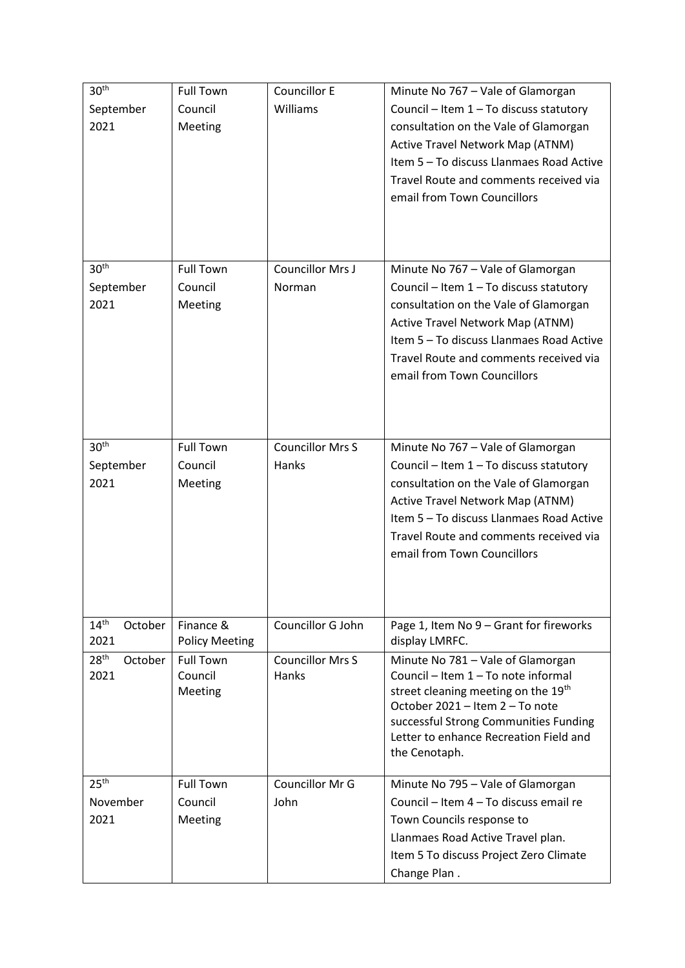| 30 <sup>th</sup>                    | <b>Full Town</b>            | <b>Councillor E</b>              | Minute No 767 - Vale of Glamorgan                                        |
|-------------------------------------|-----------------------------|----------------------------------|--------------------------------------------------------------------------|
| September                           | Council                     | Williams                         | Council - Item 1 - To discuss statutory                                  |
| 2021                                | Meeting                     |                                  | consultation on the Vale of Glamorgan                                    |
|                                     |                             |                                  | Active Travel Network Map (ATNM)                                         |
|                                     |                             |                                  | Item 5 - To discuss Llanmaes Road Active                                 |
|                                     |                             |                                  | Travel Route and comments received via                                   |
|                                     |                             |                                  | email from Town Councillors                                              |
|                                     |                             |                                  |                                                                          |
|                                     |                             |                                  |                                                                          |
|                                     |                             |                                  |                                                                          |
| 30 <sup>th</sup>                    | <b>Full Town</b>            | Councillor Mrs J                 | Minute No 767 - Vale of Glamorgan                                        |
| September                           | Council                     | Norman                           | Council - Item 1 - To discuss statutory                                  |
| 2021                                | Meeting                     |                                  | consultation on the Vale of Glamorgan                                    |
|                                     |                             |                                  | Active Travel Network Map (ATNM)                                         |
|                                     |                             |                                  | Item 5 - To discuss Llanmaes Road Active                                 |
|                                     |                             |                                  |                                                                          |
|                                     |                             |                                  | Travel Route and comments received via                                   |
|                                     |                             |                                  | email from Town Councillors                                              |
|                                     |                             |                                  |                                                                          |
|                                     |                             |                                  |                                                                          |
| 30 <sup>th</sup>                    |                             | <b>Councillor Mrs S</b>          |                                                                          |
|                                     | <b>Full Town</b>            |                                  | Minute No 767 - Vale of Glamorgan                                        |
| September                           | Council                     | Hanks                            | Council - Item 1 - To discuss statutory                                  |
| 2021                                | Meeting                     |                                  | consultation on the Vale of Glamorgan                                    |
|                                     |                             |                                  | Active Travel Network Map (ATNM)                                         |
|                                     |                             |                                  | Item 5 - To discuss Llanmaes Road Active                                 |
|                                     |                             |                                  | Travel Route and comments received via                                   |
|                                     |                             |                                  | email from Town Councillors                                              |
|                                     |                             |                                  |                                                                          |
|                                     |                             |                                  |                                                                          |
|                                     |                             |                                  |                                                                          |
| 14 <sup>th</sup><br>October<br>2021 | Finance &                   | Councillor G John                | Page 1, Item No 9 - Grant for fireworks<br>display LMRFC.                |
|                                     | <b>Policy Meeting</b>       |                                  |                                                                          |
| 28 <sup>th</sup><br>October<br>2021 | <b>Full Town</b><br>Council | <b>Councillor Mrs S</b><br>Hanks | Minute No 781 - Vale of Glamorgan<br>Council - Item 1 - To note informal |
|                                     | Meeting                     |                                  | street cleaning meeting on the 19 <sup>th</sup>                          |
|                                     |                             |                                  | October 2021 - Item 2 - To note                                          |
|                                     |                             |                                  | successful Strong Communities Funding                                    |
|                                     |                             |                                  | Letter to enhance Recreation Field and                                   |
|                                     |                             |                                  | the Cenotaph.                                                            |
|                                     |                             |                                  |                                                                          |
| 25 <sup>th</sup>                    | <b>Full Town</b>            | Councillor Mr G                  | Minute No 795 - Vale of Glamorgan                                        |
| November                            | Council                     | John                             | Council - Item 4 - To discuss email re                                   |
| 2021                                | Meeting                     |                                  | Town Councils response to                                                |
|                                     |                             |                                  | Llanmaes Road Active Travel plan.                                        |
|                                     |                             |                                  | Item 5 To discuss Project Zero Climate                                   |
|                                     |                             |                                  | Change Plan.                                                             |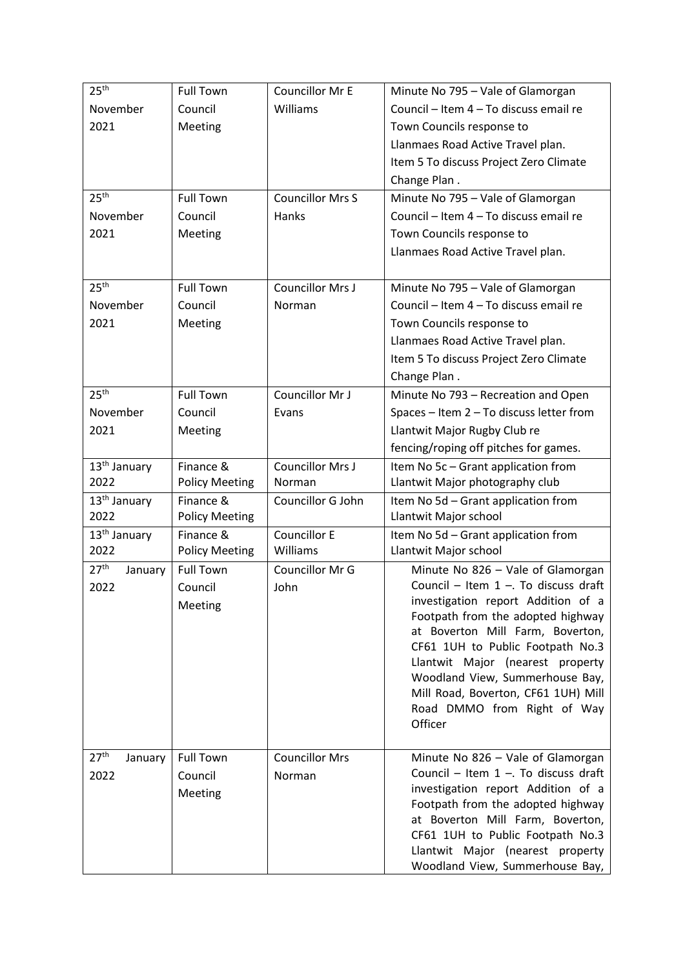| 25 <sup>th</sup>                    | <b>Full Town</b>                       | Councillor Mr E                 | Minute No 795 - Vale of Glamorgan                                                                                                            |
|-------------------------------------|----------------------------------------|---------------------------------|----------------------------------------------------------------------------------------------------------------------------------------------|
| November                            | Council                                | Williams                        | Council - Item 4 - To discuss email re                                                                                                       |
| 2021                                | Meeting                                |                                 | Town Councils response to                                                                                                                    |
|                                     |                                        |                                 | Llanmaes Road Active Travel plan.                                                                                                            |
|                                     |                                        |                                 | Item 5 To discuss Project Zero Climate                                                                                                       |
|                                     |                                        |                                 | Change Plan.                                                                                                                                 |
| 25 <sup>th</sup>                    | <b>Full Town</b>                       | <b>Councillor Mrs S</b>         | Minute No 795 - Vale of Glamorgan                                                                                                            |
| November                            | Council                                | Hanks                           | Council - Item 4 - To discuss email re                                                                                                       |
| 2021                                | Meeting                                |                                 | Town Councils response to                                                                                                                    |
|                                     |                                        |                                 | Llanmaes Road Active Travel plan.                                                                                                            |
|                                     |                                        |                                 |                                                                                                                                              |
| 25 <sup>th</sup>                    | <b>Full Town</b>                       | Councillor Mrs J                | Minute No 795 - Vale of Glamorgan                                                                                                            |
| November                            | Council                                | Norman                          | Council - Item 4 - To discuss email re                                                                                                       |
| 2021                                | Meeting                                |                                 | Town Councils response to                                                                                                                    |
|                                     |                                        |                                 | Llanmaes Road Active Travel plan.                                                                                                            |
|                                     |                                        |                                 | Item 5 To discuss Project Zero Climate                                                                                                       |
|                                     |                                        |                                 | Change Plan.                                                                                                                                 |
| 25 <sup>th</sup>                    | <b>Full Town</b>                       | Councillor Mr J                 | Minute No 793 - Recreation and Open                                                                                                          |
| November                            | Council                                | Evans                           | Spaces - Item 2 - To discuss letter from                                                                                                     |
| 2021                                | Meeting                                |                                 | Llantwit Major Rugby Club re                                                                                                                 |
|                                     |                                        |                                 | fencing/roping off pitches for games.                                                                                                        |
| 13 <sup>th</sup> January            | Finance &                              | Councillor Mrs J                | Item No 5c - Grant application from                                                                                                          |
| 2022                                | <b>Policy Meeting</b>                  | Norman                          | Llantwit Major photography club                                                                                                              |
| 13 <sup>th</sup> January            | Finance &                              | Councillor G John               | Item No 5d - Grant application from                                                                                                          |
| 2022                                | <b>Policy Meeting</b>                  |                                 | Llantwit Major school                                                                                                                        |
| 13 <sup>th</sup> January            | Finance &                              | <b>Councillor E</b>             | Item No 5d - Grant application from                                                                                                          |
| 2022                                | <b>Policy Meeting</b>                  | Williams                        | Llantwit Major school                                                                                                                        |
| 27 <sup>th</sup><br>January         | <b>Full Town</b>                       | Councillor Mr G                 | Minute No 826 - Vale of Glamorgan                                                                                                            |
| 2022                                | Council                                | John                            | Council - Item $1 -$ . To discuss draft<br>investigation report Addition of a                                                                |
|                                     | Meeting                                |                                 | Footpath from the adopted highway                                                                                                            |
|                                     |                                        |                                 | at Boverton Mill Farm, Boverton,                                                                                                             |
|                                     |                                        |                                 | CF61 1UH to Public Footpath No.3                                                                                                             |
|                                     |                                        |                                 | Llantwit Major (nearest property                                                                                                             |
|                                     |                                        |                                 | Woodland View, Summerhouse Bay,                                                                                                              |
|                                     |                                        |                                 | Mill Road, Boverton, CF61 1UH) Mill                                                                                                          |
|                                     |                                        |                                 | Road DMMO from Right of Way                                                                                                                  |
|                                     |                                        |                                 | Officer                                                                                                                                      |
|                                     |                                        |                                 |                                                                                                                                              |
|                                     |                                        |                                 | Council - Item $1 -$ . To discuss draft                                                                                                      |
|                                     |                                        |                                 | investigation report Addition of a                                                                                                           |
|                                     |                                        |                                 | Footpath from the adopted highway                                                                                                            |
|                                     |                                        |                                 | at Boverton Mill Farm, Boverton,                                                                                                             |
|                                     |                                        |                                 |                                                                                                                                              |
|                                     |                                        |                                 |                                                                                                                                              |
| 27 <sup>th</sup><br>January<br>2022 | <b>Full Town</b><br>Council<br>Meeting | <b>Councillor Mrs</b><br>Norman | Minute No 826 - Vale of Glamorgan<br>CF61 1UH to Public Footpath No.3<br>Llantwit Major (nearest property<br>Woodland View, Summerhouse Bay, |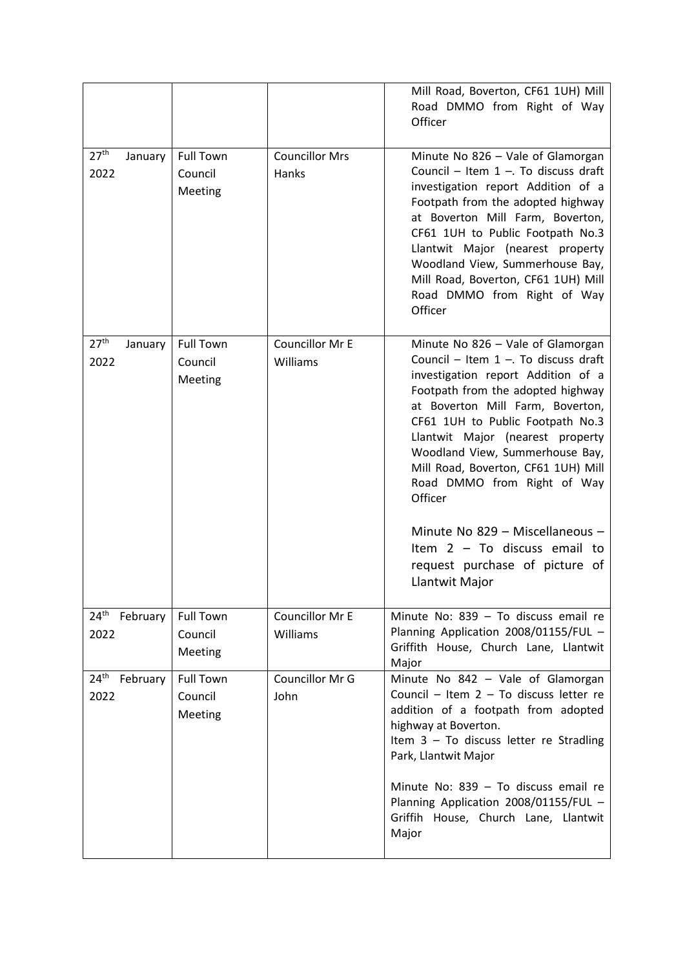|                                     |                                        |                                | Mill Road, Boverton, CF61 1UH) Mill<br>Road DMMO from Right of Way<br>Officer                                                                                                                                                                                                                                                                                                                                                                                                                                    |
|-------------------------------------|----------------------------------------|--------------------------------|------------------------------------------------------------------------------------------------------------------------------------------------------------------------------------------------------------------------------------------------------------------------------------------------------------------------------------------------------------------------------------------------------------------------------------------------------------------------------------------------------------------|
| 27 <sup>th</sup><br>January<br>2022 | <b>Full Town</b><br>Council<br>Meeting | <b>Councillor Mrs</b><br>Hanks | Minute No 826 - Vale of Glamorgan<br>Council - Item $1 -$ . To discuss draft<br>investigation report Addition of a<br>Footpath from the adopted highway<br>at Boverton Mill Farm, Boverton,<br>CF61 1UH to Public Footpath No.3<br>Llantwit Major (nearest property<br>Woodland View, Summerhouse Bay,<br>Mill Road, Boverton, CF61 1UH) Mill<br>Road DMMO from Right of Way<br>Officer                                                                                                                          |
| 27 <sup>th</sup><br>January<br>2022 | <b>Full Town</b><br>Council<br>Meeting | Councillor Mr E<br>Williams    | Minute No 826 - Vale of Glamorgan<br>Council - Item $1 -$ . To discuss draft<br>investigation report Addition of a<br>Footpath from the adopted highway<br>at Boverton Mill Farm, Boverton,<br>CF61 1UH to Public Footpath No.3<br>Llantwit Major (nearest property<br>Woodland View, Summerhouse Bay,<br>Mill Road, Boverton, CF61 1UH) Mill<br>Road DMMO from Right of Way<br>Officer<br>Minute No 829 - Miscellaneous -<br>Item $2 - To$ discuss email to<br>request purchase of picture of<br>Llantwit Major |
| 24 <sup>th</sup> February<br>2022   | <b>Full Town</b><br>Council<br>Meeting | Councillor Mr E<br>Williams    | Minute No: 839 - To discuss email re<br>Planning Application 2008/01155/FUL -<br>Griffith House, Church Lane, Llantwit<br>Major                                                                                                                                                                                                                                                                                                                                                                                  |
| 24 <sup>th</sup> February<br>2022   | <b>Full Town</b><br>Council<br>Meeting | Councillor Mr G<br>John        | Minute No 842 - Vale of Glamorgan<br>Council - Item 2 - To discuss letter re<br>addition of a footpath from adopted<br>highway at Boverton.<br>Item 3 - To discuss letter re Stradling<br>Park, Llantwit Major                                                                                                                                                                                                                                                                                                   |
|                                     |                                        |                                | Minute No: 839 - To discuss email re<br>Planning Application 2008/01155/FUL -<br>Griffih House, Church Lane, Llantwit<br>Major                                                                                                                                                                                                                                                                                                                                                                                   |